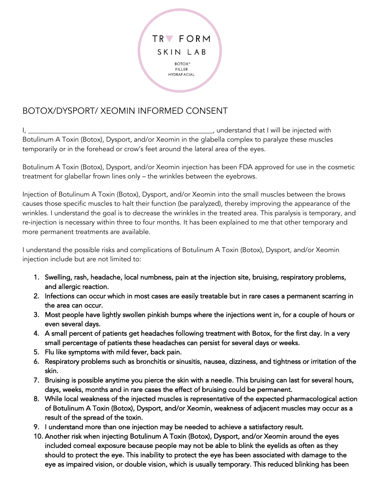

## BOTOX/DYSPORT/ XEOMIN INFORMED CONSENT

I, \_\_\_\_\_\_\_\_\_\_\_\_\_\_\_\_\_\_\_\_\_\_\_\_\_\_\_\_\_\_\_\_\_\_\_\_\_\_\_\_\_\_\_\_\_\_\_\_\_\_\_\_\_\_, understand that I will be injected with Botulinum A Toxin (Botox), Dysport, and/or Xeomin in the glabella complex to paralyze these muscles temporarily or in the forehead or crow's feet around the lateral area of the eyes.

Botulinum A Toxin (Botox), Dysport, and/or Xeomin injection has been FDA approved for use in the cosmetic treatment for glabellar frown lines only – the wrinkles between the eyebrows.

Injection of Botulinum A Toxin (Botox), Dysport, and/or Xeomin into the small muscles between the brows causes those specific muscles to halt their function (be paralyzed), thereby improving the appearance of the wrinkles. I understand the goal is to decrease the wrinkles in the treated area. This paralysis is temporary, and re-injection is necessary within three to four months. It has been explained to me that other temporary and more permanent treatments are available.

I understand the possible risks and complications of Botulinum A Toxin (Botox), Dysport, and/or Xeomin injection include but are not limited to:

- 1. Swelling, rash, headache, local numbness, pain at the injection site, bruising, respiratory problems, and allergic reaction.
- 2. Infections can occur which in most cases are easily treatable but in rare cases a permanent scarring in the area can occur.
- 3. Most people have lightly swollen pinkish bumps where the injections went in, for a couple of hours or even several days.
- 4. A small percent of patients get headaches following treatment with Botox, for the first day. In a very small percentage of patients these headaches can persist for several days or weeks.
- 5. Flu like symptoms with mild fever, back pain.
- 6. Respiratory problems such as bronchitis or sinusitis, nausea, dizziness, and tightness or irritation of the skin.
- 7. Bruising is possible anytime you pierce the skin with a needle. This bruising can last for several hours, days, weeks, months and in rare cases the effect of bruising could be permanent.
- 8. While local weakness of the injected muscles is representative of the expected pharmacological action of Botulinum A Toxin (Botox), Dysport, and/or Xeomin, weakness of adjacent muscles may occur as a result of the spread of the toxin.
- 9. I understand more than one injection may be needed to achieve a satisfactory result.
- 10. Another risk when injecting Botulinum A Toxin (Botox), Dysport, and/or Xeomin around the eyes included corneal exposure because people may not be able to blink the eyelids as often as they should to protect the eye. This inability to protect the eye has been associated with damage to the eye as impaired vision, or double vision, which is usually temporary. This reduced blinking has been